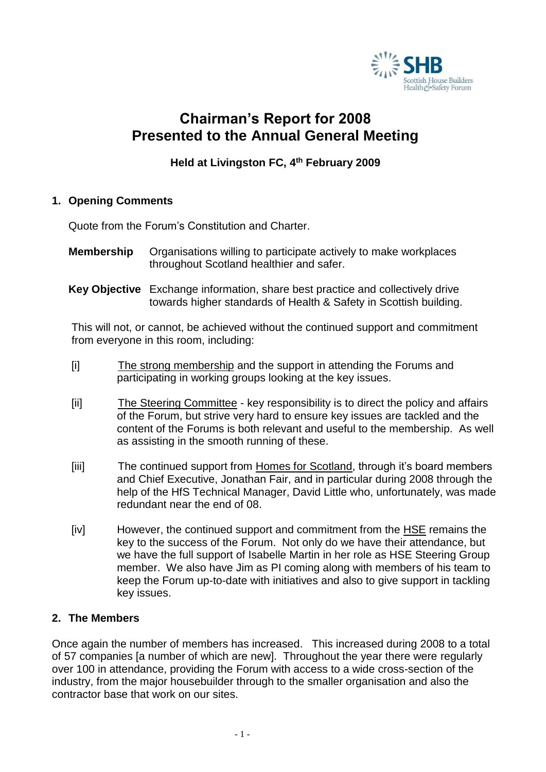

# **Chairman's Report for 2008 Presented to the Annual General Meeting**

# **Held at Livingston FC, 4 th February 2009**

## **1. Opening Comments**

Quote from the Forum's Constitution and Charter.

- **Membership** Organisations willing to participate actively to make workplaces throughout Scotland healthier and safer.
- **Key Objective** Exchange information, share best practice and collectively drive towards higher standards of Health & Safety in Scottish building.

This will not, or cannot, be achieved without the continued support and commitment from everyone in this room, including:

- [i] The strong membership and the support in attending the Forums and participating in working groups looking at the key issues.
- [ii] The Steering Committee key responsibility is to direct the policy and affairs of the Forum, but strive very hard to ensure key issues are tackled and the content of the Forums is both relevant and useful to the membership. As well as assisting in the smooth running of these.
- [iii] The continued support from Homes for Scotland, through it's board members and Chief Executive, Jonathan Fair, and in particular during 2008 through the help of the HfS Technical Manager, David Little who, unfortunately, was made redundant near the end of 08.
- [iv] However, the continued support and commitment from the HSE remains the key to the success of the Forum. Not only do we have their attendance, but we have the full support of Isabelle Martin in her role as HSE Steering Group member. We also have Jim as PI coming along with members of his team to keep the Forum up-to-date with initiatives and also to give support in tackling key issues.

### **2. The Members**

Once again the number of members has increased. This increased during 2008 to a total of 57 companies [a number of which are new]. Throughout the year there were regularly over 100 in attendance, providing the Forum with access to a wide cross-section of the industry, from the major housebuilder through to the smaller organisation and also the contractor base that work on our sites.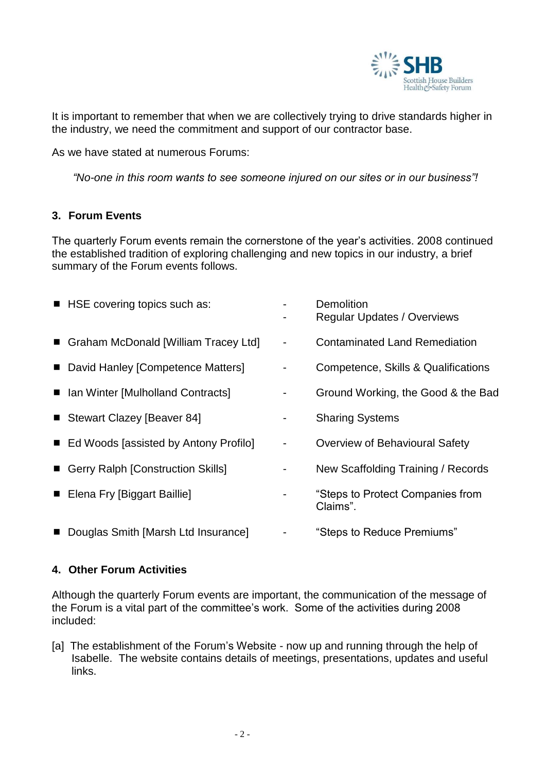

It is important to remember that when we are collectively trying to drive standards higher in the industry, we need the commitment and support of our contractor base.

As we have stated at numerous Forums:

*"No-one in this room wants to see someone injured on our sites or in our business"!*

## **3. Forum Events**

The quarterly Forum events remain the cornerstone of the year's activities. 2008 continued the established tradition of exploring challenging and new topics in our industry, a brief summary of the Forum events follows.

| HSE covering topics such as:            |                          | Demolition<br><b>Regular Updates / Overviews</b> |
|-----------------------------------------|--------------------------|--------------------------------------------------|
| ■ Graham McDonald [William Tracey Ltd]  | $\overline{\phantom{a}}$ | <b>Contaminated Land Remediation</b>             |
| ■ David Hanley [Competence Matters]     |                          | Competence, Skills & Qualifications              |
| ■ Ian Winter [Mulholland Contracts]     |                          | Ground Working, the Good & the Bad               |
| ■ Stewart Clazey [Beaver 84]            | ۰                        | <b>Sharing Systems</b>                           |
| ■ Ed Woods [assisted by Antony Profilo] | $\blacksquare$           | Overview of Behavioural Safety                   |
| Gerry Ralph [Construction Skills]       |                          | New Scaffolding Training / Records               |
| ■ Elena Fry [Biggart Baillie]           |                          | "Steps to Protect Companies from<br>Claims".     |
| Douglas Smith [Marsh Ltd Insurance]     |                          | "Steps to Reduce Premiums"                       |

### **4. Other Forum Activities**

Although the quarterly Forum events are important, the communication of the message of the Forum is a vital part of the committee's work. Some of the activities during 2008 included:

[a] The establishment of the Forum's Website - now up and running through the help of Isabelle. The website contains details of meetings, presentations, updates and useful links.